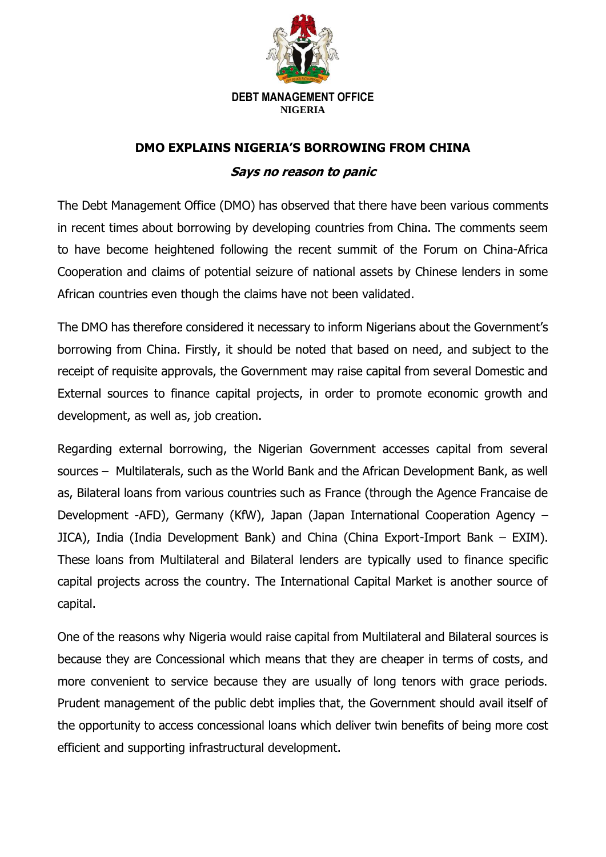

## **DEBT MANAGEMENT OFFICE NIGERIA**

## **DMO EXPLAINS NIGERIA'S BORROWING FROM CHINA**

## **Says no reason to panic**

The Debt Management Office (DMO) has observed that there have been various comments in recent times about borrowing by developing countries from China. The comments seem to have become heightened following the recent summit of the [Forum on China-Africa](https://www.focac.org/eng/)  [Cooperation](https://www.focac.org/eng/) and claims of potential seizure of national assets by Chinese lenders in some African countries even though the claims have not been validated.

The DMO has therefore considered it necessary to inform Nigerians about the Government's borrowing from China. Firstly, it should be noted that based on need, and subject to the receipt of requisite approvals, the Government may raise capital from several Domestic and External sources to finance capital projects, in order to promote economic growth and development, as well as, job creation.

Regarding external borrowing, the Nigerian Government accesses capital from several sources – Multilaterals, such as the World Bank and the African Development Bank, as well as, Bilateral loans from various countries such as France (through the Agence Francaise de Development -AFD), Germany (KfW), Japan (Japan International Cooperation Agency – JICA), India (India Development Bank) and China (China Export-Import Bank – EXIM). These loans from Multilateral and Bilateral lenders are typically used to finance specific capital projects across the country. The International Capital Market is another source of capital.

One of the reasons why Nigeria would raise capital from Multilateral and Bilateral sources is because they are Concessional which means that they are cheaper in terms of costs, and more convenient to service because they are usually of long tenors with grace periods. Prudent management of the public debt implies that, the Government should avail itself of the opportunity to access concessional loans which deliver twin benefits of being more cost efficient and supporting infrastructural development.